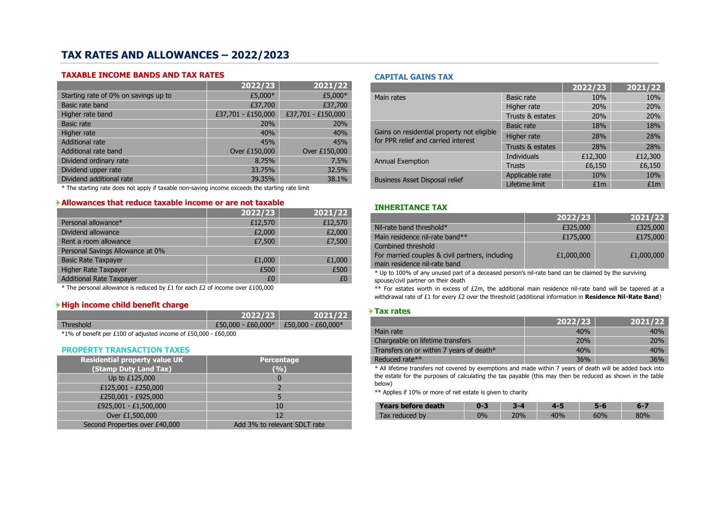# **TAX RATES AND ALLOWANCES – 2022/2023**

### **TAXABLE INCOME BANDS AND TAX RATES**

|                                      | 2022/23            | 2021/22            |
|--------------------------------------|--------------------|--------------------|
| Starting rate of 0% on savings up to | £5,000*            | £5,000*            |
| Basic rate band                      | £37,700            | £37,700            |
| Higher rate band                     | £37,701 - £150,000 | £37,701 - £150,000 |
| <b>Basic rate</b>                    | 20%                | 20%                |
| Higher rate                          | 40%                | 40%                |
| <b>Additional rate</b>               | 45%                | 45%                |
| Additional rate band                 | Over £150,000      | Over £150,000      |
| Dividend ordinary rate               | 8.75%              | 7.5%               |
| Dividend upper rate                  | 33.75%             | 32.5%              |
| Dividend additional rate             | 39.35%             | 38.1%              |

\* The starting rate does not apply if taxable non-saving income exceeds the starting rate limit

## **Allowances that reduce taxable income or are not taxable**

|                                  | 2022/23 | 2021/22 |
|----------------------------------|---------|---------|
| Personal allowance*              | £12,570 | £12,570 |
| Dividend allowance               | £2,000  | £2,000  |
| Rent a room allowance            | £7,500  | £7,500  |
| Personal Savings Allowance at 0% |         |         |
| <b>Basic Rate Taxpayer</b>       | £1,000  | £1,000  |
| Higher Rate Taxpayer             | £500    | £500    |
| <b>Additional Rate Taxpayer</b>  | £0      | f٥      |

\* The personal allowance is reduced by £1 for each £2 of income over £100,000

# **High income child benefit charge**

|           | 12022/23             | 2021/22                               |
|-----------|----------------------|---------------------------------------|
| Threshold | $£50,000 - £60,000*$ | $\pm 50.000 - \text{\pounds}60.000^*$ |

\*1% of benefit per £100 of adjusted income of £50,000 - £60,000

### **PROPERTY TRANSACTION TAXES**

| <b>Residential property value UK</b> | Percentage                   |
|--------------------------------------|------------------------------|
| (Stamp Duty Land Tax)                | (%)                          |
| Up to £125,000                       | 0                            |
| £125,001 - £250,000                  |                              |
| £250,001 - £925,000                  |                              |
| £925,001 - £1,500,000                | 10                           |
| Over £1,500,000                      | 12                           |
| Second Properties over £40,000       | Add 3% to relevant SDLT rate |

### **CAPITAL GAINS TAX**

|                                                                                   |                   | 2022/23 | 2021/22 |
|-----------------------------------------------------------------------------------|-------------------|---------|---------|
| Main rates                                                                        | Basic rate        | 10%     | 10%     |
|                                                                                   | Higher rate       | 20%     | 20%     |
|                                                                                   | Trusts & estates  | 20%     | 20%     |
|                                                                                   | <b>Basic rate</b> | 18%     | 18%     |
| Gains on residential property not eligible<br>for PPR relief and carried interest | Higher rate       | 28%     | 28%     |
|                                                                                   | Trusts & estates  | 28%     | 28%     |
| <b>Annual Exemption</b>                                                           | Individuals       | £12,300 | £12,300 |
|                                                                                   | <b>Trusts</b>     | £6,150  | £6,150  |
| <b>Business Asset Disposal relief</b>                                             | Applicable rate   | 10%     | 10%     |
|                                                                                   | Lifetime limit    | £1m     | £1m     |

### **INHERITANCE TAX**

|                                                 | 2022/23    | 2021/22    |
|-------------------------------------------------|------------|------------|
| Nil-rate band threshold*                        | £325,000   | £325,000   |
| Main residence nil-rate band**                  | £175,000   | £175,000   |
| Combined threshold                              |            |            |
| For married couples & civil partners, including | £1,000,000 | £1,000,000 |
| main residence nil-rate band                    |            |            |

\* Up to 100% of any unused part of a deceased person's nil-rate band can be claimed by the surviving spouse/civil partner on their death

\*\* For estates worth in excess of £2m, the additional main residence nil-rate band will be tapered at a withdrawal rate of £1 for every £2 over the threshold (additional information in **Residence Nil-Rate Band**)

### **Tax rates**

|                                          | 2022/23 | 2021/22 |
|------------------------------------------|---------|---------|
| Main rate                                | 40%     | 40%     |
| Chargeable on lifetime transfers         | 20%     | 20%     |
| Transfers on or within 7 years of death* | 40%     | 40%     |
| Reduced rate**                           | 36%     | 36%     |

\* All lifetime transfers not covered by exemptions and made within 7 years of death will be added back into the estate for the purposes of calculating the tax payable (this may then be reduced as shown in the table below)

\*\* Applies if 10% or more of net estate is given to charity

| Years before death |    |            |     |                 | -07  |
|--------------------|----|------------|-----|-----------------|------|
| Tax reduced by     | ገ% | <b>70%</b> | 10% | $\neg$ 0%<br>טט | 2004 |